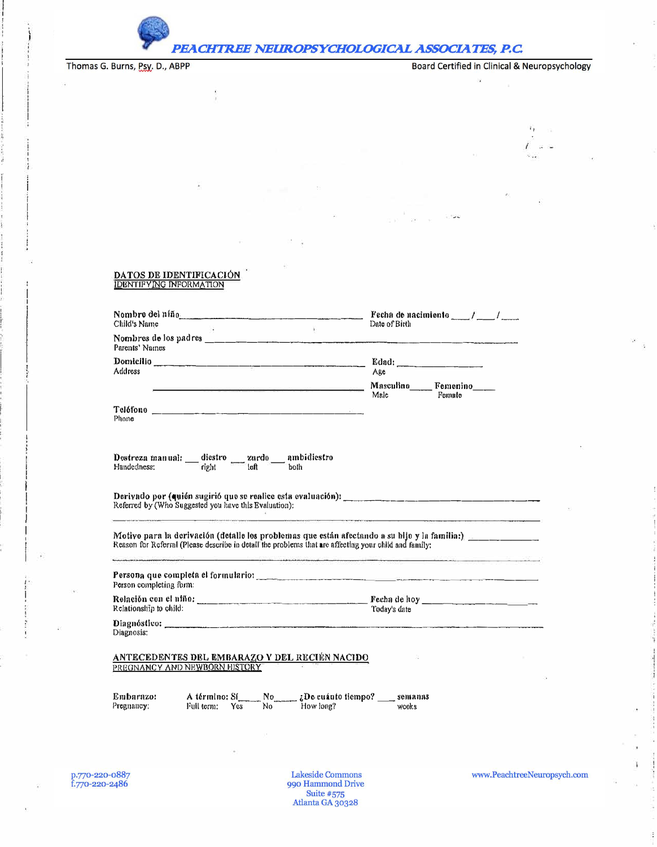

PEACHTREE NEUROPSYCHOLOGICAL ASSOCIATES, P.C.

Thomas G. Burns, Psy. D., ABPP

 $\Gamma_1$  $\alpha \approx$ 

i.

## DATOS DE IDENTIFICACIÓN

Š

| Child's Name<br>$\mathcal{N}$                                                                                                                                                                                                                                                                                                                                                                                                                             | Fecha de nacimiente $\frac{1}{\sqrt{1-\frac{1}{2}}}$<br>Date of Birth |                              |  |  |
|-----------------------------------------------------------------------------------------------------------------------------------------------------------------------------------------------------------------------------------------------------------------------------------------------------------------------------------------------------------------------------------------------------------------------------------------------------------|-----------------------------------------------------------------------|------------------------------|--|--|
| Parents' Names                                                                                                                                                                                                                                                                                                                                                                                                                                            |                                                                       |                              |  |  |
| Domicilio<br>Address                                                                                                                                                                                                                                                                                                                                                                                                                                      | Age                                                                   | Edad:                        |  |  |
| <u> 1980 - An Anglick Marie Marie Marie Anglick (</u>                                                                                                                                                                                                                                                                                                                                                                                                     | Male                                                                  | Masculino Femenino<br>Female |  |  |
| Phone                                                                                                                                                                                                                                                                                                                                                                                                                                                     |                                                                       |                              |  |  |
| Destreza manual: - diestro - zurdo - ambidiestro<br>Handedness: - right - left both                                                                                                                                                                                                                                                                                                                                                                       |                                                                       |                              |  |  |
| Referred by (Who Suggested you have this Evaluation):                                                                                                                                                                                                                                                                                                                                                                                                     |                                                                       |                              |  |  |
| Motivo para la derivación (detalle los problemas que están afectando a su bijo y la familia:) [16] [16] Motiva<br>Reason for Referral (Please describe in detail the problems that are affecting your child and family:<br>The contract of the contract of the contract of the contract of the contract of the contract of the contract of the contract of the contract of the contract of the contract of the contract of the contract of the contract o |                                                                       |                              |  |  |
| Persona que completa el formulario: en entre en el composición de la composición de la composición de la compo<br>Person completing form:                                                                                                                                                                                                                                                                                                                 |                                                                       |                              |  |  |
| Relationship to child:                                                                                                                                                                                                                                                                                                                                                                                                                                    | Today's date                                                          |                              |  |  |
| Diagnosis:                                                                                                                                                                                                                                                                                                                                                                                                                                                |                                                                       |                              |  |  |
| ANTECEDENTES DEL EMBARAZO Y DEL RECIÉN NACIDO<br>PREGNANCY AND NEWBORN HISTORY                                                                                                                                                                                                                                                                                                                                                                            |                                                                       |                              |  |  |
| No ¿ ¿ De cuánto tiempo? _ semanas<br>A término; Sí<br>Embarazo:<br>How long?<br>$No^{\sim}$<br>Pregnancy:<br>Full term:<br>Yes                                                                                                                                                                                                                                                                                                                           | wooks                                                                 |                              |  |  |

Lakeside Commons<br>990 Hammond Drive Suite #575<br>Atlanta GA 30328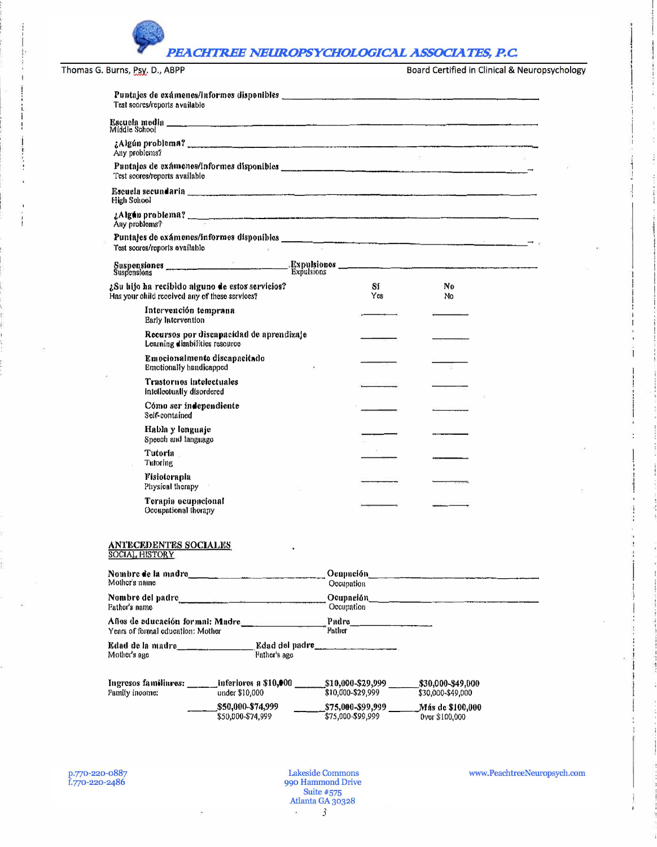| Test scores/reports available                                                                                                          |                                               |                                 |                                           |  |
|----------------------------------------------------------------------------------------------------------------------------------------|-----------------------------------------------|---------------------------------|-------------------------------------------|--|
| Middle School                                                                                                                          |                                               |                                 |                                           |  |
| Any problems?                                                                                                                          |                                               |                                 |                                           |  |
| Test scores/reports available                                                                                                          |                                               |                                 |                                           |  |
| Escuela secundaria <b>de la construcción de la construcción de la construcción de la construcción de la construcció</b><br>High School |                                               |                                 |                                           |  |
| LAIgún problema?<br>Any problems?                                                                                                      |                                               |                                 |                                           |  |
| Puntajes de exámenes/informes disponibles<br>Test scores/reports available                                                             |                                               |                                 |                                           |  |
|                                                                                                                                        |                                               |                                 |                                           |  |
| ¿Su hijo ha recibido alguno de estos servicios?<br>Has your child received any of these services?                                      |                                               | Sí<br>Yes                       | N <sub>0</sub><br>No.                     |  |
| Intervención temprana<br>Early Intervention                                                                                            |                                               |                                 |                                           |  |
| Learning disabilities resource                                                                                                         | Recursos por discapacidad de aprendizaje      |                                 |                                           |  |
| <b>Emotionally handicapped</b>                                                                                                         | Emocionalmente discapacitado                  |                                 |                                           |  |
| Trastornos intelectuales<br>Intellectually disordered                                                                                  |                                               |                                 |                                           |  |
| Cómo ser independiente<br>Self-contained                                                                                               |                                               |                                 |                                           |  |
| Habla y lenguaje<br>Speech and language                                                                                                |                                               |                                 |                                           |  |
| Tutoría -<br>Tutoring                                                                                                                  |                                               |                                 |                                           |  |
| Fisioterapla<br>Physical therapy                                                                                                       |                                               |                                 |                                           |  |
| Terapia ocupacional<br>Occupational thorapy                                                                                            |                                               |                                 |                                           |  |
| <b>ANTECEDENTES SOCIALES</b><br><b>SOCIAL HISTORY</b>                                                                                  |                                               |                                 |                                           |  |
| Nombre de la madre<br>Mother's name                                                                                                    |                                               | Occupation                      |                                           |  |
| Nombre del padre<br>Father's name                                                                                                      |                                               | Occupation                      |                                           |  |
| Años de educación formal: Madre<br>Years of formal education: Mother                                                                   |                                               | <b>Pather</b>                   |                                           |  |
| Edad de la madre<br>Mother's age                                                                                                       | Father's age                                  | Edad del padre                  |                                           |  |
| Ingresos familiares: ______ inferiores a \$10,000 _______________\$10,000-\$29,999 _______<br>Family income:                           | under \$10,000                                | \$10,000-\$29,999               | \$30,000-\$49,000<br>\$30,000-\$49,000    |  |
|                                                                                                                                        | \$50,000-\$74,999<br>ቁ <u>ፍስ በበቤ</u> -ቁንፈ 000 | $\frac{1}{2}$ \$75.000.\$90.900 | Más de \$100,000<br><b>Draw \$100.000</b> |  |

 $\mathbf{0}$ 

- 193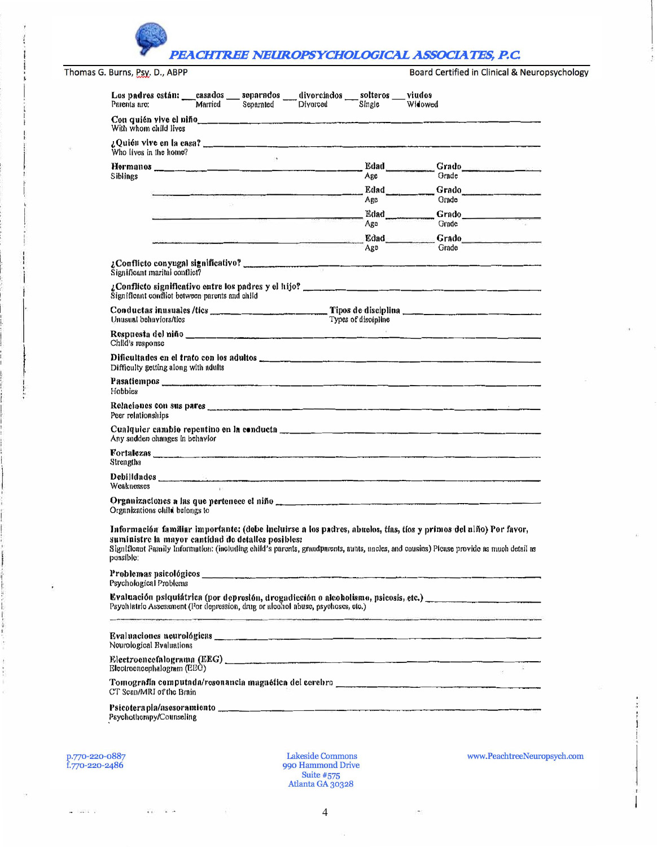| Los padres están: casados separados divorciados solteros viudes<br>Parents arc: | Married Separated | Divorced | Single              | Widowed                                                                                                                                                                                                                                                    |
|---------------------------------------------------------------------------------|-------------------|----------|---------------------|------------------------------------------------------------------------------------------------------------------------------------------------------------------------------------------------------------------------------------------------------------|
| With whom child lives                                                           |                   |          |                     |                                                                                                                                                                                                                                                            |
| Who lives in the home?                                                          | $-16$             |          |                     |                                                                                                                                                                                                                                                            |
|                                                                                 |                   |          |                     | Edad Grado                                                                                                                                                                                                                                                 |
| <b>Siblings</b>                                                                 |                   |          | Arc                 | Grade                                                                                                                                                                                                                                                      |
|                                                                                 |                   |          |                     | Edad Grado                                                                                                                                                                                                                                                 |
|                                                                                 | $-14$             |          | Age                 | Grade                                                                                                                                                                                                                                                      |
|                                                                                 |                   |          | Ago                 | Edad ___________Grado<br>Grade                                                                                                                                                                                                                             |
|                                                                                 |                   |          |                     |                                                                                                                                                                                                                                                            |
|                                                                                 |                   |          | Ago                 | Grade                                                                                                                                                                                                                                                      |
| Significant marital conflict?                                                   |                   |          |                     |                                                                                                                                                                                                                                                            |
| Significant conflict between parents and child                                  |                   |          |                     |                                                                                                                                                                                                                                                            |
| Unusual behaviors/tics                                                          |                   |          | Types of discipline |                                                                                                                                                                                                                                                            |
| Child's response                                                                |                   |          |                     |                                                                                                                                                                                                                                                            |
| Difficulty getting along with adults                                            |                   |          |                     |                                                                                                                                                                                                                                                            |
| Hobbies                                                                         |                   |          |                     |                                                                                                                                                                                                                                                            |
| Peer relationships                                                              |                   |          |                     |                                                                                                                                                                                                                                                            |
| Any sudden changes in behavior                                                  |                   |          |                     |                                                                                                                                                                                                                                                            |
| Strengths                                                                       |                   |          |                     |                                                                                                                                                                                                                                                            |
| Weaknesses                                                                      |                   |          |                     |                                                                                                                                                                                                                                                            |
| Organizations child belongs to                                                  |                   |          |                     | Organizaciones a las que pertenece el niño en el proporciones en el proporciones en el proporciones en el propo                                                                                                                                            |
|                                                                                 |                   |          |                     |                                                                                                                                                                                                                                                            |
| suministre la mayor cantidad de detalles posibles:<br>possible:                 |                   |          |                     | Información familiar importante: (debe incluirse a los padres, abuelos, tías, tíos y primos del ulño) Por favor,<br>Significant Family Information: (including child's parents, grandparents, aunts, uncles, and cousins) Picase provide as much detail as |
| Problemas psicológicos_<br>Psychological Problems                               |                   |          |                     |                                                                                                                                                                                                                                                            |
| Psychlatric Assessment (Por depression, drug or alcohol abuse, psychoses, etc.) |                   |          |                     | Evaluación psiquiátrica (por depresión, drogadicción o alcoholismo, psicosis, etc.) __________________________                                                                                                                                             |
| Neurological Bvaluations                                                        |                   |          |                     |                                                                                                                                                                                                                                                            |
| Electroencephalogram (EEG)                                                      |                   |          |                     |                                                                                                                                                                                                                                                            |
| CT Scan/MRI of the Brain                                                        |                   |          |                     |                                                                                                                                                                                                                                                            |
|                                                                                 |                   |          |                     |                                                                                                                                                                                                                                                            |
| Psychotherapy/Counseling                                                        |                   |          |                     |                                                                                                                                                                                                                                                            |

 $\left\langle \vec{q}\right\rangle$ 

 $\overline{\mathbf{4}}$